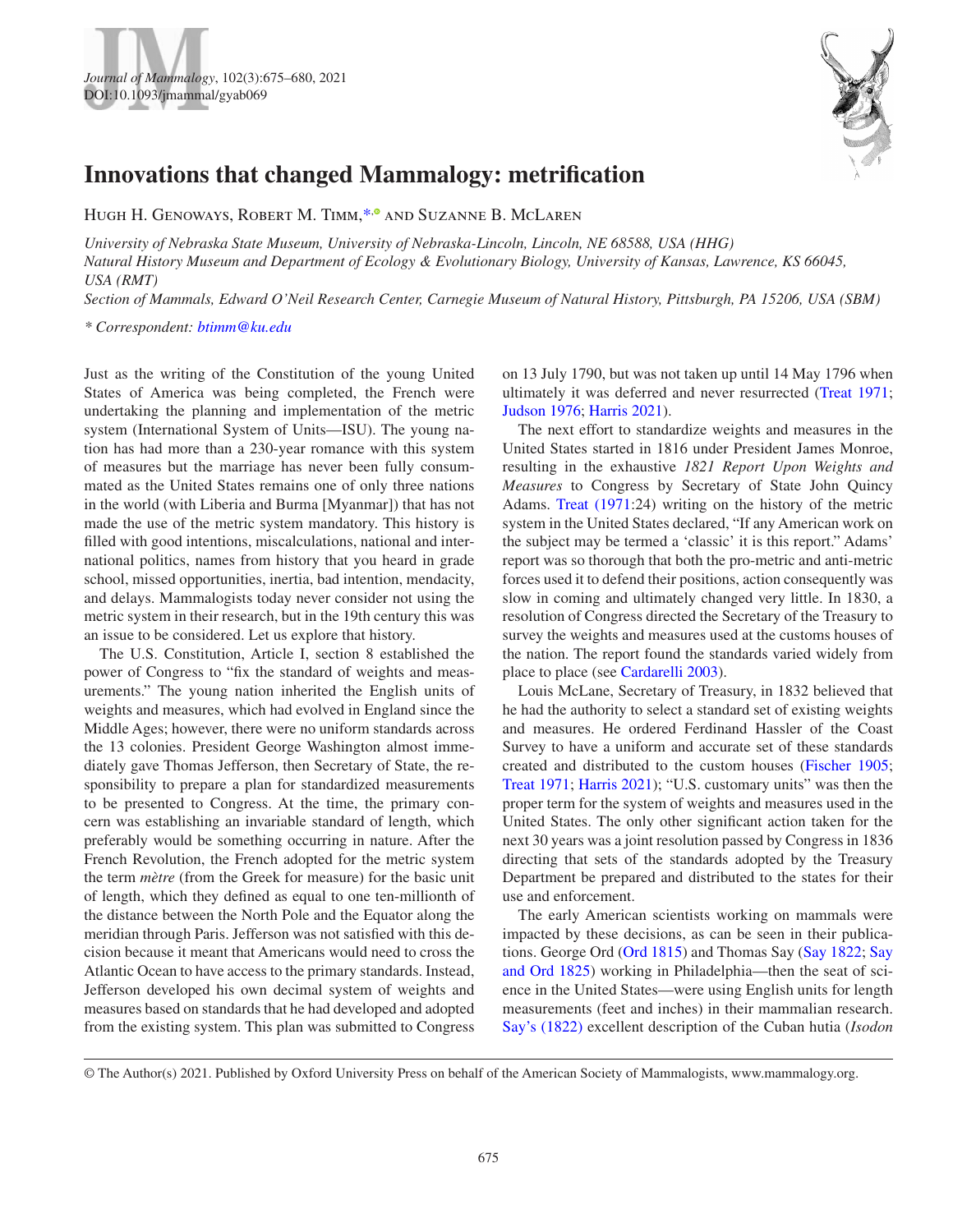



HUGH H. GENOWAYS[,](https://orcid.org/0000-0001-6203-3316) ROBERT M. TIMM,<sup>\*,®</sup> AND SUZANNE B. MCLAREN

*University of Nebraska State Museum, University of Nebraska-Lincoln, Lincoln, NE 68588, USA (HHG) Natural History Museum and Department of Ecology & Evolutionary Biology, University of Kansas, Lawrence, KS 66045, USA (RMT)*

*Section of Mammals, Edward O'Neil Research Center, Carnegie Museum of Natural History, Pittsburgh, PA 15206, USA (SBM)*

<span id="page-0-0"></span>*\* Correspondent: [btimm@ku.edu](mailto:btimm@ku.edu?subject=)*

Just as the writing of the Constitution of the young United States of America was being completed, the French were undertaking the planning and implementation of the metric system (International System of Units—ISU). The young nation has had more than a 230-year romance with this system of measures but the marriage has never been fully consummated as the United States remains one of only three nations in the world (with Liberia and Burma [Myanmar]) that has not made the use of the metric system mandatory. This history is filled with good intentions, miscalculations, national and international politics, names from history that you heard in grade school, missed opportunities, inertia, bad intention, mendacity, and delays. Mammalogists today never consider not using the metric system in their research, but in the 19th century this was an issue to be considered. Let us explore that history.

The U.S. Constitution, Article I, section 8 established the power of Congress to "fix the standard of weights and measurements." The young nation inherited the English units of weights and measures, which had evolved in England since the Middle Ages; however, there were no uniform standards across the 13 colonies. President George Washington almost immediately gave Thomas Jefferson, then Secretary of State, the responsibility to prepare a plan for standardized measurements to be presented to Congress. At the time, the primary concern was establishing an invariable standard of length, which preferably would be something occurring in nature. After the French Revolution, the French adopted for the metric system the term *mètre* (from the Greek for measure) for the basic unit of length, which they defined as equal to one ten-millionth of the distance between the North Pole and the Equator along the meridian through Paris. Jefferson was not satisfied with this decision because it meant that Americans would need to cross the Atlantic Ocean to have access to the primary standards. Instead, Jefferson developed his own decimal system of weights and measures based on standards that he had developed and adopted from the existing system. This plan was submitted to Congress on 13 July 1790, but was not taken up until 14 May 1796 when ultimately it was deferred and never resurrected ([Treat 1971](#page-4-0); [Judson 1976](#page-3-0); [Harris 2021](#page-3-1)).

The next effort to standardize weights and measures in the United States started in 1816 under President James Monroe, resulting in the exhaustive *1821 Report Upon Weights and Measures* to Congress by Secretary of State John Quincy Adams. [Treat \(1971:](#page-4-0)24) writing on the history of the metric system in the United States declared, "If any American work on the subject may be termed a 'classic' it is this report." Adams' report was so thorough that both the pro-metric and anti-metric forces used it to defend their positions, action consequently was slow in coming and ultimately changed very little. In 1830, a resolution of Congress directed the Secretary of the Treasury to survey the weights and measures used at the customs houses of the nation. The report found the standards varied widely from place to place (see [Cardarelli 2003\)](#page-3-2).

Louis McLane, Secretary of Treasury, in 1832 believed that he had the authority to select a standard set of existing weights and measures. He ordered Ferdinand Hassler of the Coast Survey to have a uniform and accurate set of these standards created and distributed to the custom houses ([Fischer 1905](#page-3-3); [Treat 1971](#page-4-0); [Harris 2021](#page-3-1)); "U.S. customary units" was then the proper term for the system of weights and measures used in the United States. The only other significant action taken for the next 30 years was a joint resolution passed by Congress in 1836 directing that sets of the standards adopted by the Treasury Department be prepared and distributed to the states for their use and enforcement.

The early American scientists working on mammals were impacted by these decisions, as can be seen in their publications. George Ord [\(Ord 1815\)](#page-4-1) and Thomas Say [\(Say 1822;](#page-4-2) [Say](#page-4-3)  [and Ord 1825](#page-4-3)) working in Philadelphia—then the seat of science in the United States—were using English units for length measurements (feet and inches) in their mammalian research. [Say's \(1822\)](#page-4-2) excellent description of the Cuban hutia (*Isodon* 

© The Author(s) 2021. Published by Oxford University Press on behalf of the American Society of Mammalogists, www.mammalogy.org.

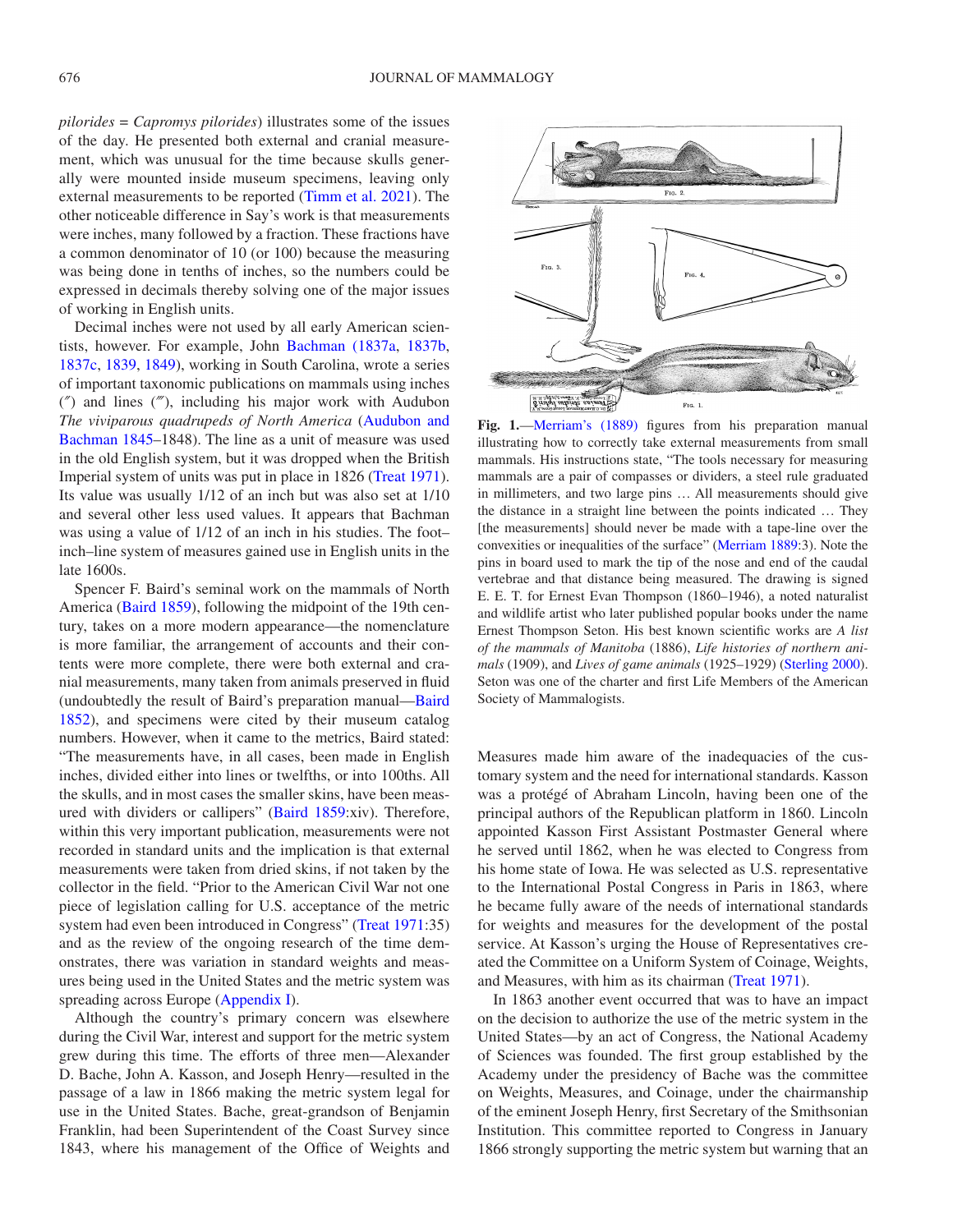*pilorides* = *Capromys pilorides*) illustrates some of the issues of the day. He presented both external and cranial measurement, which was unusual for the time because skulls generally were mounted inside museum specimens, leaving only external measurements to be reported ([Timm et al. 2021](#page-4-4)). The other noticeable difference in Say's work is that measurements were inches, many followed by a fraction. These fractions have a common denominator of 10 (or 100) because the measuring was being done in tenths of inches, so the numbers could be expressed in decimals thereby solving one of the major issues of working in English units.

Decimal inches were not used by all early American scientists, however. For example, John [Bachman \(1837a](#page-3-4), [1837b](#page-3-5), [1837c](#page-3-6), [1839,](#page-3-7) [1849\)](#page-3-8), working in South Carolina, wrote a series of important taxonomic publications on mammals using inches (″) and lines (‴), including his major work with Audubon *The viviparous quadrupeds of North America* [\(Audubon and](#page-3-9) [Bachman 1845–](#page-3-9)1848). The line as a unit of measure was used in the old English system, but it was dropped when the British Imperial system of units was put in place in 1826 ([Treat 1971](#page-4-0)). Its value was usually 1/12 of an inch but was also set at 1/10 and several other less used values. It appears that Bachman was using a value of 1/12 of an inch in his studies. The foot– inch–line system of measures gained use in English units in the late 1600s.

Spencer F. Baird's seminal work on the mammals of North America [\(Baird 1859](#page-3-10)), following the midpoint of the 19th century, takes on a more modern appearance—the nomenclature is more familiar, the arrangement of accounts and their contents were more complete, there were both external and cranial measurements, many taken from animals preserved in fluid (undoubtedly the result of Baird's preparation manual—[Baird](#page-3-11) [1852](#page-3-11)), and specimens were cited by their museum catalog numbers. However, when it came to the metrics, Baird stated: "The measurements have, in all cases, been made in English inches, divided either into lines or twelfths, or into 100ths. All the skulls, and in most cases the smaller skins, have been measured with dividers or callipers" ([Baird 1859](#page-3-10):xiv). Therefore, within this very important publication, measurements were not recorded in standard units and the implication is that external measurements were taken from dried skins, if not taken by the collector in the field. "Prior to the American Civil War not one piece of legislation calling for U.S. acceptance of the metric system had even been introduced in Congress" ([Treat 1971:](#page-4-0)35) and as the review of the ongoing research of the time demonstrates, there was variation in standard weights and measures being used in the United States and the metric system was spreading across Europe ([Appendix I\)](#page-4-5).

Although the country's primary concern was elsewhere during the Civil War, interest and support for the metric system grew during this time. The efforts of three men—Alexander D. Bache, John A. Kasson, and Joseph Henry—resulted in the passage of a law in 1866 making the metric system legal for use in the United States. Bache, great-grandson of Benjamin Franklin, had been Superintendent of the Coast Survey since 1843, where his management of the Office of Weights and



<span id="page-1-0"></span>**Fig. 1.**—[Merriam's \(1889\)](#page-3-12) figures from his preparation manual illustrating how to correctly take external measurements from small mammals. His instructions state, "The tools necessary for measuring mammals are a pair of compasses or dividers, a steel rule graduated in millimeters, and two large pins … All measurements should give the distance in a straight line between the points indicated … They [the measurements] should never be made with a tape-line over the convexities or inequalities of the surface" [\(Merriam 1889:](#page-3-12)3). Note the pins in board used to mark the tip of the nose and end of the caudal vertebrae and that distance being measured. The drawing is signed E. E. T. for Ernest Evan Thompson (1860–1946), a noted naturalist and wildlife artist who later published popular books under the name Ernest Thompson Seton. His best known scientific works are *A list of the mammals of Manitoba* (1886), *Life histories of northern animals* (1909), and *Lives of game animals* (1925–1929) [\(Sterling 2000\)](#page-4-6). Seton was one of the charter and first Life Members of the American Society of Mammalogists.

Measures made him aware of the inadequacies of the customary system and the need for international standards. Kasson was a protégé of Abraham Lincoln, having been one of the principal authors of the Republican platform in 1860. Lincoln appointed Kasson First Assistant Postmaster General where he served until 1862, when he was elected to Congress from his home state of Iowa. He was selected as U.S. representative to the International Postal Congress in Paris in 1863, where he became fully aware of the needs of international standards for weights and measures for the development of the postal service. At Kasson's urging the House of Representatives created the Committee on a Uniform System of Coinage, Weights, and Measures, with him as its chairman [\(Treat 1971\)](#page-4-0).

In 1863 another event occurred that was to have an impact on the decision to authorize the use of the metric system in the United States—by an act of Congress, the National Academy of Sciences was founded. The first group established by the Academy under the presidency of Bache was the committee on Weights, Measures, and Coinage, under the chairmanship of the eminent Joseph Henry, first Secretary of the Smithsonian Institution. This committee reported to Congress in January 1866 strongly supporting the metric system but warning that an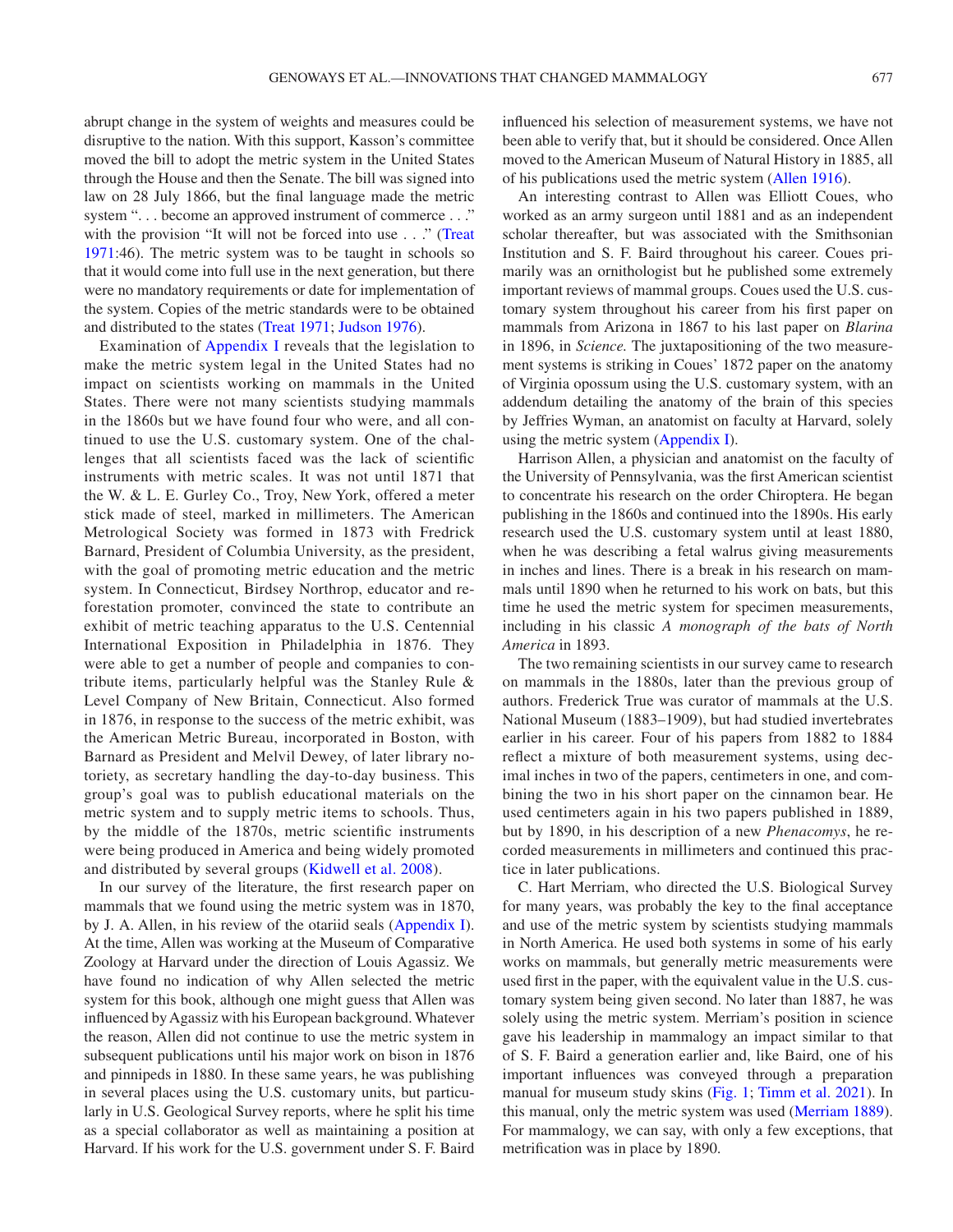abrupt change in the system of weights and measures could be disruptive to the nation. With this support, Kasson's committee moved the bill to adopt the metric system in the United States through the House and then the Senate. The bill was signed into law on 28 July 1866, but the final language made the metric system "... become an approved instrument of commerce ..." with the provision "It will not be forced into use . . ." (Treat [1971](#page-4-0):46). The metric system was to be taught in schools so that it would come into full use in the next generation, but there were no mandatory requirements or date for implementation of the system. Copies of the metric standards were to be obtained and distributed to the states [\(Treat 1971](#page-4-0); [Judson 1976\)](#page-3-0).

Examination of [Appendix I](#page-4-5) reveals that the legislation to make the metric system legal in the United States had no impact on scientists working on mammals in the United States. There were not many scientists studying mammals in the 1860s but we have found four who were, and all continued to use the U.S. customary system. One of the challenges that all scientists faced was the lack of scientific instruments with metric scales. It was not until 1871 that the W. & L. E. Gurley Co., Troy, New York, offered a meter stick made of steel, marked in millimeters. The American Metrological Society was formed in 1873 with Fredrick Barnard, President of Columbia University, as the president, with the goal of promoting metric education and the metric system. In Connecticut, Birdsey Northrop, educator and reforestation promoter, convinced the state to contribute an exhibit of metric teaching apparatus to the U.S. Centennial International Exposition in Philadelphia in 1876. They were able to get a number of people and companies to contribute items, particularly helpful was the Stanley Rule & Level Company of New Britain, Connecticut. Also formed in 1876, in response to the success of the metric exhibit, was the American Metric Bureau, incorporated in Boston, with Barnard as President and Melvil Dewey, of later library notoriety, as secretary handling the day-to-day business. This group's goal was to publish educational materials on the metric system and to supply metric items to schools. Thus, by the middle of the 1870s, metric scientific instruments were being produced in America and being widely promoted and distributed by several groups [\(Kidwell et al. 2008](#page-3-13)).

In our survey of the literature, the first research paper on mammals that we found using the metric system was in 1870, by J. A. Allen, in his review of the otariid seals [\(Appendix I](#page-4-5)). At the time, Allen was working at the Museum of Comparative Zoology at Harvard under the direction of Louis Agassiz. We have found no indication of why Allen selected the metric system for this book, although one might guess that Allen was influenced by Agassiz with his European background. Whatever the reason, Allen did not continue to use the metric system in subsequent publications until his major work on bison in 1876 and pinnipeds in 1880. In these same years, he was publishing in several places using the U.S. customary units, but particularly in U.S. Geological Survey reports, where he split his time as a special collaborator as well as maintaining a position at Harvard. If his work for the U.S. government under S. F. Baird influenced his selection of measurement systems, we have not been able to verify that, but it should be considered. Once Allen moved to the American Museum of Natural History in 1885, all of his publications used the metric system ([Allen 1916](#page-3-14)).

An interesting contrast to Allen was Elliott Coues, who worked as an army surgeon until 1881 and as an independent scholar thereafter, but was associated with the Smithsonian Institution and S. F. Baird throughout his career. Coues primarily was an ornithologist but he published some extremely important reviews of mammal groups. Coues used the U.S. customary system throughout his career from his first paper on mammals from Arizona in 1867 to his last paper on *Blarina* in 1896, in *Science.* The juxtapositioning of the two measurement systems is striking in Coues' 1872 paper on the anatomy of Virginia opossum using the U.S. customary system, with an addendum detailing the anatomy of the brain of this species by Jeffries Wyman, an anatomist on faculty at Harvard, solely using the metric system ([Appendix I\)](#page-4-5).

Harrison Allen, a physician and anatomist on the faculty of the University of Pennsylvania, was the first American scientist to concentrate his research on the order Chiroptera. He began publishing in the 1860s and continued into the 1890s. His early research used the U.S. customary system until at least 1880, when he was describing a fetal walrus giving measurements in inches and lines. There is a break in his research on mammals until 1890 when he returned to his work on bats, but this time he used the metric system for specimen measurements, including in his classic *A monograph of the bats of North America* in 1893.

The two remaining scientists in our survey came to research on mammals in the 1880s, later than the previous group of authors. Frederick True was curator of mammals at the U.S. National Museum (1883–1909), but had studied invertebrates earlier in his career. Four of his papers from 1882 to 1884 reflect a mixture of both measurement systems, using decimal inches in two of the papers, centimeters in one, and combining the two in his short paper on the cinnamon bear. He used centimeters again in his two papers published in 1889, but by 1890, in his description of a new *Phenacomys*, he recorded measurements in millimeters and continued this practice in later publications.

C. Hart Merriam, who directed the U.S. Biological Survey for many years, was probably the key to the final acceptance and use of the metric system by scientists studying mammals in North America. He used both systems in some of his early works on mammals, but generally metric measurements were used first in the paper, with the equivalent value in the U.S. customary system being given second. No later than 1887, he was solely using the metric system. Merriam's position in science gave his leadership in mammalogy an impact similar to that of S. F. Baird a generation earlier and, like Baird, one of his important influences was conveyed through a preparation manual for museum study skins ([Fig. 1;](#page-1-0) [Timm et al. 2021\)](#page-4-4). In this manual, only the metric system was used ([Merriam 1889](#page-3-12)). For mammalogy, we can say, with only a few exceptions, that metrification was in place by 1890.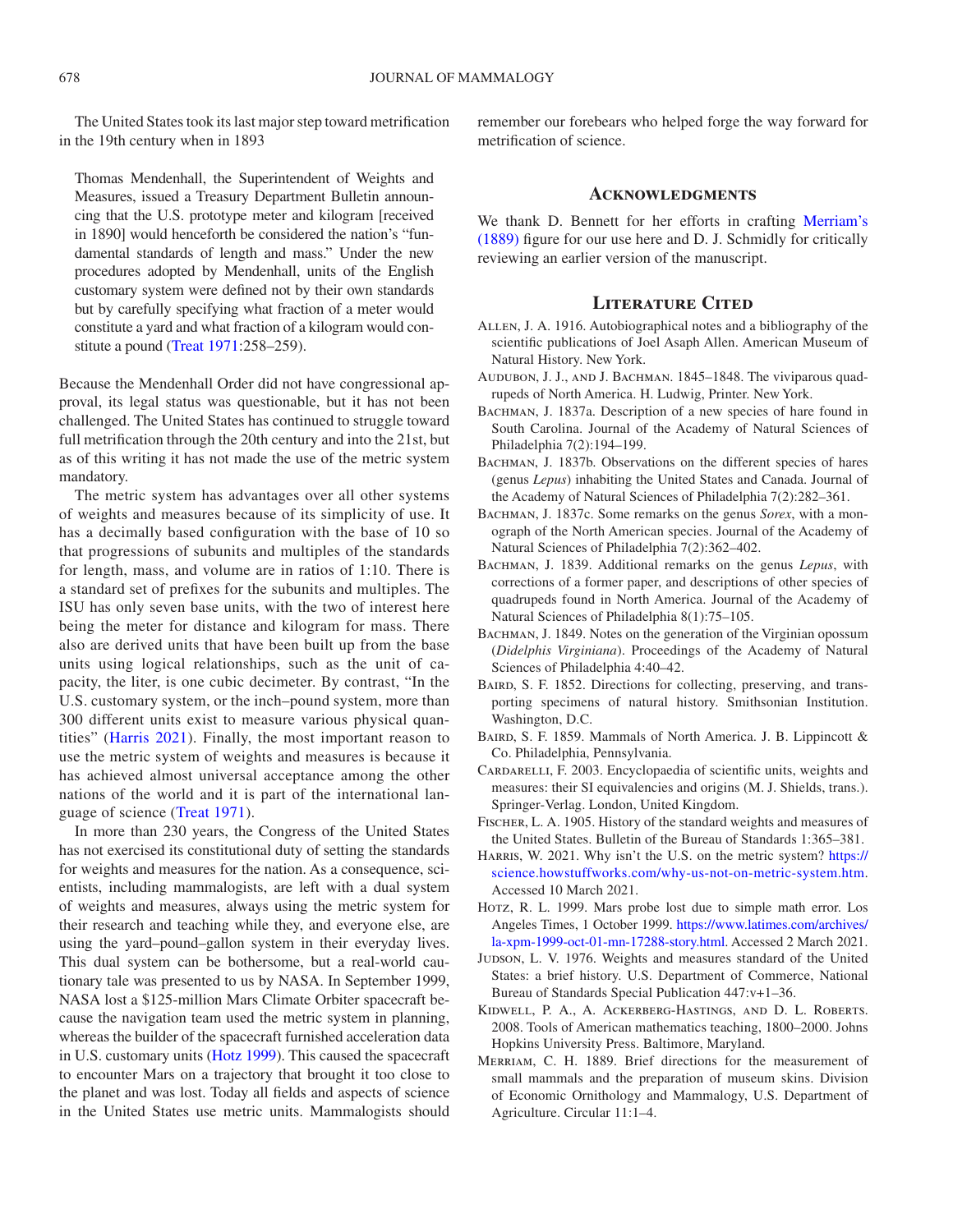The United States took its last major step toward metrification in the 19th century when in 1893

Thomas Mendenhall, the Superintendent of Weights and Measures, issued a Treasury Department Bulletin announcing that the U.S. prototype meter and kilogram [received in 1890] would henceforth be considered the nation's "fundamental standards of length and mass." Under the new procedures adopted by Mendenhall, units of the English customary system were defined not by their own standards but by carefully specifying what fraction of a meter would constitute a yard and what fraction of a kilogram would constitute a pound [\(Treat 1971:](#page-4-0)258–259).

Because the Mendenhall Order did not have congressional approval, its legal status was questionable, but it has not been challenged. The United States has continued to struggle toward full metrification through the 20th century and into the 21st, but as of this writing it has not made the use of the metric system mandatory.

The metric system has advantages over all other systems of weights and measures because of its simplicity of use. It has a decimally based configuration with the base of 10 so that progressions of subunits and multiples of the standards for length, mass, and volume are in ratios of 1:10. There is a standard set of prefixes for the subunits and multiples. The ISU has only seven base units, with the two of interest here being the meter for distance and kilogram for mass. There also are derived units that have been built up from the base units using logical relationships, such as the unit of capacity, the liter, is one cubic decimeter. By contrast, "In the U.S. customary system, or the inch–pound system, more than 300 different units exist to measure various physical quantities" [\(Harris 2021\)](#page-3-1). Finally, the most important reason to use the metric system of weights and measures is because it has achieved almost universal acceptance among the other nations of the world and it is part of the international language of science [\(Treat 1971\)](#page-4-0).

In more than 230 years, the Congress of the United States has not exercised its constitutional duty of setting the standards for weights and measures for the nation. As a consequence, scientists, including mammalogists, are left with a dual system of weights and measures, always using the metric system for their research and teaching while they, and everyone else, are using the yard–pound–gallon system in their everyday lives. This dual system can be bothersome, but a real-world cautionary tale was presented to us by NASA. In September 1999, NASA lost a \$125-million Mars Climate Orbiter spacecraft because the navigation team used the metric system in planning, whereas the builder of the spacecraft furnished acceleration data in U.S. customary units [\(Hotz 1999\)](#page-3-15). This caused the spacecraft to encounter Mars on a trajectory that brought it too close to the planet and was lost. Today all fields and aspects of science in the United States use metric units. Mammalogists should remember our forebears who helped forge the way forward for metrification of science.

## **Acknowledgments**

We thank D. Bennett for her efforts in crafting [Merriam's](#page-3-12)  [\(1889\)](#page-3-12) figure for our use here and D. J. Schmidly for critically reviewing an earlier version of the manuscript.

## **Literature Cited**

- <span id="page-3-14"></span>Allen, J. A. 1916. Autobiographical notes and a bibliography of the scientific publications of Joel Asaph Allen. American Museum of Natural History. New York.
- <span id="page-3-9"></span>AUDUBON, J. J., AND J. BACHMAN. 1845-1848. The viviparous quadrupeds of North America. H. Ludwig, Printer. New York.
- <span id="page-3-4"></span>BACHMAN, J. 1837a. Description of a new species of hare found in South Carolina. Journal of the Academy of Natural Sciences of Philadelphia 7(2):194–199.
- <span id="page-3-5"></span>BACHMAN, J. 1837b. Observations on the different species of hares (genus *Lepus*) inhabiting the United States and Canada. Journal of the Academy of Natural Sciences of Philadelphia 7(2):282–361.
- <span id="page-3-6"></span>BACHMAN, J. 1837c. Some remarks on the genus *Sorex*, with a monograph of the North American species. Journal of the Academy of Natural Sciences of Philadelphia 7(2):362–402.
- <span id="page-3-7"></span>BACHMAN, J. 1839. Additional remarks on the genus *Lepus*, with corrections of a former paper, and descriptions of other species of quadrupeds found in North America. Journal of the Academy of Natural Sciences of Philadelphia 8(1):75–105.
- <span id="page-3-8"></span>BACHMAN, J. 1849. Notes on the generation of the Virginian opossum (*Didelphis Virginiana*). Proceedings of the Academy of Natural Sciences of Philadelphia 4:40–42.
- <span id="page-3-11"></span>BAIRD, S. F. 1852. Directions for collecting, preserving, and transporting specimens of natural history. Smithsonian Institution. Washington, D.C.
- <span id="page-3-10"></span>BAIRD, S. F. 1859. Mammals of North America. J. B. Lippincott & Co. Philadelphia, Pennsylvania.
- <span id="page-3-2"></span>CARDARELLI, F. 2003. Encyclopaedia of scientific units, weights and measures: their SI equivalencies and origins (M. J. Shields, trans.). Springer-Verlag. London, United Kingdom.
- <span id="page-3-3"></span>Fischer, L. A. 1905. History of the standard weights and measures of the United States. Bulletin of the Bureau of Standards 1:365–381.
- <span id="page-3-1"></span>HARRIS, W. 2021. Why isn't the U.S. on the metric system? [https://](https://science.howstuffworks.com/why-us-not-on-metric-system.htm) [science.howstuffworks.com/why-us-not-on-metric-system.htm.](https://science.howstuffworks.com/why-us-not-on-metric-system.htm) Accessed 10 March 2021.
- <span id="page-3-15"></span>Horz, R. L. 1999. Mars probe lost due to simple math error. Los Angeles Times, 1 October 1999. [https://www.latimes.com/archives/](https://www.latimes.com/archives/la-xpm-1999-oct-01-mn-17288-story.html) [la-xpm-1999-oct-01-mn-17288-story.html.](https://www.latimes.com/archives/la-xpm-1999-oct-01-mn-17288-story.html) Accessed 2 March 2021.
- <span id="page-3-0"></span>JUDSON, L. V. 1976. Weights and measures standard of the United States: a brief history. U.S. Department of Commerce, National Bureau of Standards Special Publication 447:v+1–36.
- <span id="page-3-13"></span>Kidwell, P. A., A. Ackerberg-Hastings, and D. L. Roberts. 2008. Tools of American mathematics teaching, 1800–2000. Johns Hopkins University Press. Baltimore, Maryland.
- <span id="page-3-12"></span>Merriam, C. H. 1889. Brief directions for the measurement of small mammals and the preparation of museum skins. Division of Economic Ornithology and Mammalogy, U.S. Department of Agriculture. Circular 11:1–4.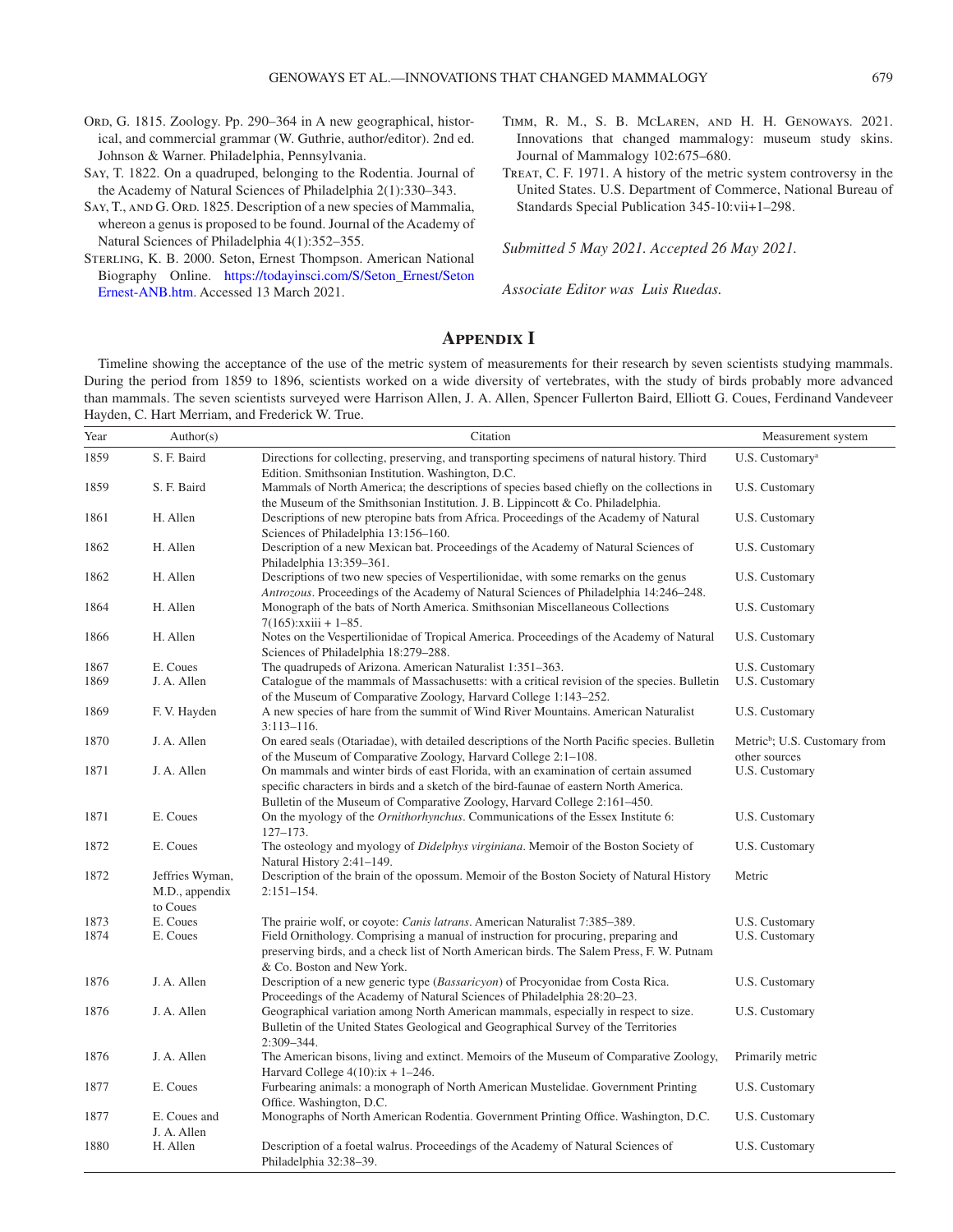- <span id="page-4-1"></span>Ord, G. 1815. Zoology. Pp. 290-364 in A new geographical, historical, and commercial grammar (W. Guthrie, author/editor). 2nd ed. Johnson & Warner. Philadelphia, Pennsylvania.
- <span id="page-4-2"></span>Say, T. 1822. On a quadruped, belonging to the Rodentia. Journal of the Academy of Natural Sciences of Philadelphia 2(1):330–343.
- <span id="page-4-3"></span>SAY, T., AND G. ORD. 1825. Description of a new species of Mammalia, whereon a genus is proposed to be found. Journal of the Academy of Natural Sciences of Philadelphia 4(1):352–355.
- <span id="page-4-6"></span>Sterling, K. B. 2000. Seton, Ernest Thompson. American National Biography Online. [https://todayinsci.com/S/Seton\\_Ernest/Seton](https://todayinsci.com/S/Seton_Ernest/SetonErnest-ANB.htm)  [Ernest-ANB.htm](https://todayinsci.com/S/Seton_Ernest/SetonErnest-ANB.htm). Accessed 13 March 2021.
- <span id="page-4-4"></span>Timm, R. M., S. B. McLaren, and H. H. Genoways. 2021. Innovations that changed mammalogy: museum study skins. Journal of Mammalogy 102:675–680.
- <span id="page-4-0"></span>Treat, C. F. 1971. A history of the metric system controversy in the United States. U.S. Department of Commerce, National Bureau of Standards Special Publication 345-10:vii+1–298.

*Submitted 5 May 2021. Accepted 26 May 2021.*

<span id="page-4-5"></span>*Associate Editor was Luis Ruedas.*

## **Appendix I**

Timeline showing the acceptance of the use of the metric system of measurements for their research by seven scientists studying mammals. During the period from 1859 to 1896, scientists worked on a wide diversity of vertebrates, with the study of birds probably more advanced than mammals. The seven scientists surveyed were Harrison Allen, J. A. Allen, Spencer Fullerton Baird, Elliott G. Coues, Ferdinand Vandeveer Hayden, C. Hart Merriam, and Frederick W. True.

| Year | Author(s)                                     | Citation                                                                                                                                                                                                                                                   | Measurement system                                         |
|------|-----------------------------------------------|------------------------------------------------------------------------------------------------------------------------------------------------------------------------------------------------------------------------------------------------------------|------------------------------------------------------------|
| 1859 | S. F. Baird                                   | Directions for collecting, preserving, and transporting specimens of natural history. Third<br>Edition. Smithsonian Institution. Washington, D.C.                                                                                                          | U.S. Customary <sup>a</sup>                                |
| 1859 | S. F. Baird                                   | Mammals of North America; the descriptions of species based chiefly on the collections in<br>the Museum of the Smithsonian Institution. J. B. Lippincott & Co. Philadelphia.                                                                               | U.S. Customary                                             |
| 1861 | H. Allen                                      | Descriptions of new pteropine bats from Africa. Proceedings of the Academy of Natural<br>Sciences of Philadelphia 13:156-160.                                                                                                                              | U.S. Customary                                             |
| 1862 | H. Allen                                      | Description of a new Mexican bat. Proceedings of the Academy of Natural Sciences of<br>Philadelphia 13:359-361.                                                                                                                                            | U.S. Customary                                             |
| 1862 | H. Allen                                      | Descriptions of two new species of Vespertilionidae, with some remarks on the genus<br>Antrozous. Proceedings of the Academy of Natural Sciences of Philadelphia 14:246–248.                                                                               | U.S. Customary                                             |
| 1864 | H. Allen                                      | Monograph of the bats of North America. Smithsonian Miscellaneous Collections<br>$7(165)$ : xxiii + 1-85.                                                                                                                                                  | U.S. Customary                                             |
| 1866 | H. Allen                                      | Notes on the Vespertilionidae of Tropical America. Proceedings of the Academy of Natural<br>Sciences of Philadelphia 18:279-288.                                                                                                                           | U.S. Customary                                             |
| 1867 | E. Coues                                      | The quadrupeds of Arizona. American Naturalist 1:351–363.                                                                                                                                                                                                  | U.S. Customary                                             |
| 1869 | J. A. Allen                                   | Catalogue of the mammals of Massachusetts: with a critical revision of the species. Bulletin<br>of the Museum of Comparative Zoology, Harvard College 1:143–252.                                                                                           | U.S. Customary                                             |
| 1869 | F.V. Hayden                                   | A new species of hare from the summit of Wind River Mountains. American Naturalist<br>$3:113 - 116.$                                                                                                                                                       | U.S. Customary                                             |
| 1870 | J. A. Allen                                   | On eared seals (Otariadae), with detailed descriptions of the North Pacific species. Bulletin<br>of the Museum of Comparative Zoology, Harvard College 2:1-108.                                                                                            | Metric <sup>b</sup> ; U.S. Customary from<br>other sources |
| 1871 | J. A. Allen                                   | On mammals and winter birds of east Florida, with an examination of certain assumed<br>specific characters in birds and a sketch of the bird-faunae of eastern North America.<br>Bulletin of the Museum of Comparative Zoology, Harvard College 2:161–450. | U.S. Customary                                             |
| 1871 | E. Coues                                      | On the myology of the <i>Ornithorhynchus</i> . Communications of the Essex Institute 6:<br>$127 - 173.$                                                                                                                                                    | U.S. Customary                                             |
| 1872 | E. Coues                                      | The osteology and myology of <i>Didelphys virginiana</i> . Memoir of the Boston Society of<br>Natural History 2:41-149.                                                                                                                                    | U.S. Customary                                             |
| 1872 | Jeffries Wyman,<br>M.D., appendix<br>to Coues | Description of the brain of the opossum. Memoir of the Boston Society of Natural History<br>$2:151 - 154.$                                                                                                                                                 | Metric                                                     |
| 1873 | E. Coues                                      | The prairie wolf, or coyote: <i>Canis latrans</i> . American Naturalist 7:385–389.                                                                                                                                                                         | U.S. Customary                                             |
| 1874 | E. Coues                                      | Field Ornithology. Comprising a manual of instruction for procuring, preparing and<br>preserving birds, and a check list of North American birds. The Salem Press, F. W. Putnam<br>& Co. Boston and New York.                                              | U.S. Customary                                             |
| 1876 | J. A. Allen                                   | Description of a new generic type <i>(Bassaricyon)</i> of Procyonidae from Costa Rica.<br>Proceedings of the Academy of Natural Sciences of Philadelphia 28:20–23.                                                                                         | U.S. Customary                                             |
| 1876 | J. A. Allen                                   | Geographical variation among North American mammals, especially in respect to size.<br>Bulletin of the United States Geological and Geographical Survey of the Territories<br>2:309-344.                                                                   | U.S. Customary                                             |
| 1876 | J. A. Allen                                   | The American bisons, living and extinct. Memoirs of the Museum of Comparative Zoology,<br>Harvard College $4(10)$ : $ix + 1-246$ .                                                                                                                         | Primarily metric                                           |
| 1877 | E. Coues                                      | Furbearing animals: a monograph of North American Mustelidae. Government Printing<br>Office. Washington, D.C.                                                                                                                                              | U.S. Customary                                             |
| 1877 | E. Coues and<br>J. A. Allen                   | Monographs of North American Rodentia. Government Printing Office. Washington, D.C.                                                                                                                                                                        | U.S. Customary                                             |
| 1880 | H. Allen                                      | Description of a foetal walrus. Proceedings of the Academy of Natural Sciences of<br>Philadelphia 32:38-39.                                                                                                                                                | U.S. Customary                                             |